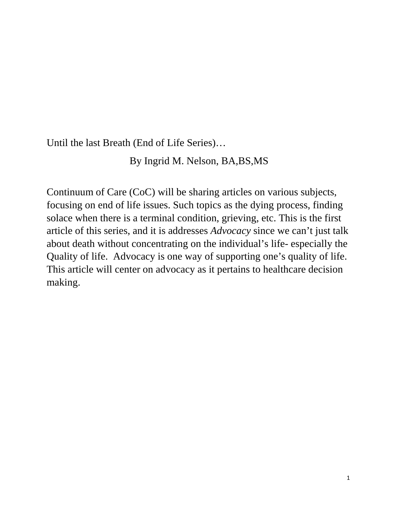Until the last Breath (End of Life Series)…

By Ingrid M. Nelson, BA,BS,MS

Continuum of Care (CoC) will be sharing articles on various subjects, focusing on end of life issues. Such topics as the dying process, finding solace when there is a terminal condition, grieving, etc. This is the first article of this series, and it is addresses *Advocacy* since we can't just talk about death without concentrating on the individual's life- especially the Quality of life. Advocacy is one way of supporting one's quality of life. This article will center on advocacy as it pertains to healthcare decision making.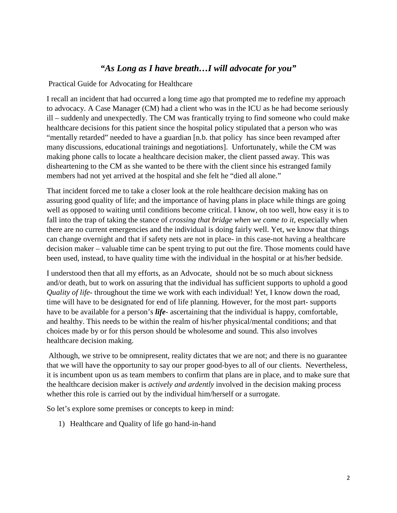# *"As Long as I have breath…I will advocate for you"*

Practical Guide for Advocating for Healthcare

I recall an incident that had occurred a long time ago that prompted me to redefine my approach to advocacy. A Case Manager (CM) had a client who was in the ICU as he had become seriously ill – suddenly and unexpectedly. The CM was frantically trying to find someone who could make healthcare decisions for this patient since the hospital policy stipulated that a person who was "mentally retarded" needed to have a guardian [n.b. that policy has since been revamped after many discussions, educational trainings and negotiations]. Unfortunately, while the CM was making phone calls to locate a healthcare decision maker, the client passed away. This was disheartening to the CM as she wanted to be there with the client since his estranged family members had not yet arrived at the hospital and she felt he "died all alone."

That incident forced me to take a closer look at the role healthcare decision making has on assuring good quality of life; and the importance of having plans in place while things are going well as opposed to waiting until conditions become critical. I know, oh too well, how easy it is to fall into the trap of taking the stance of *crossing that bridge when we come to it*, especially when there are no current emergencies and the individual is doing fairly well. Yet, we know that things can change overnight and that if safety nets are not in place- in this case-not having a healthcare decision maker – valuable time can be spent trying to put out the fire. Those moments could have been used, instead, to have quality time with the individual in the hospital or at his/her bedside.

I understood then that all my efforts, as an Advocate, should not be so much about sickness and/or death, but to work on assuring that the individual has sufficient supports to uphold a good *Quality of life*- throughout the time we work with each individual! Yet, I know down the road, time will have to be designated for end of life planning. However, for the most part- supports have to be available for a person's *life*- ascertaining that the individual is happy, comfortable, and healthy. This needs to be within the realm of his/her physical/mental conditions; and that choices made by or for this person should be wholesome and sound. This also involves healthcare decision making.

Although, we strive to be omnipresent, reality dictates that we are not; and there is no guarantee that we will have the opportunity to say our proper good-byes to all of our clients. Nevertheless, it is incumbent upon us as team members to confirm that plans are in place, and to make sure that the healthcare decision maker is *actively and ardently* involved in the decision making process whether this role is carried out by the individual him/herself or a surrogate.

So let's explore some premises or concepts to keep in mind:

1) Healthcare and Quality of life go hand-in-hand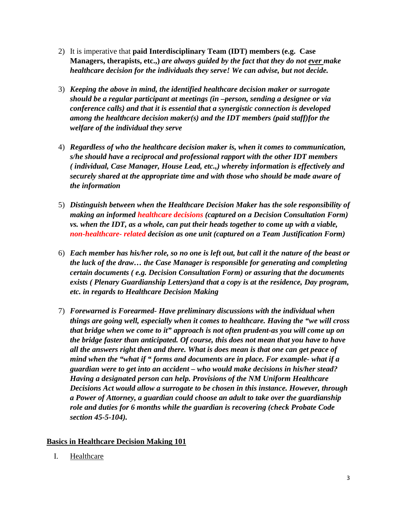- 2) It is imperative that **paid Interdisciplinary Team (IDT) members (e.g. Case Managers, therapists, etc.,)** *are always guided by the fact that they do not ever make healthcare decision for the individuals they serve! We can advise, but not decide.*
- 3) *Keeping the above in mind, the identified healthcare decision maker or surrogate should be a regular participant at meetings (in –person, sending a designee or via conference calls) and that it is essential that a synergistic connection is developed among the healthcare decision maker(s) and the IDT members (paid staff)for the welfare of the individual they serve*
- 4) *Regardless of who the healthcare decision maker is, when it comes to communication, s/he should have a reciprocal and professional rapport with the other IDT members ( individual, Case Manager, House Lead, etc.,) whereby information is effectively and securely shared at the appropriate time and with those who should be made aware of the information*
- 5) *Distinguish between when the Healthcare Decision Maker has the sole responsibility of making an informed healthcare decisions (captured on a Decision Consultation Form) vs. when the IDT, as a whole, can put their heads together to come up with a viable, non-healthcare- related decision as one unit (captured on a Team Justification Form)*
- 6) *Each member has his/her role, so no one is left out, but call it the nature of the beast or the luck of the draw… the Case Manager is responsible for generating and completing certain documents ( e.g. Decision Consultation Form) or assuring that the documents exists ( Plenary Guardianship Letters)and that a copy is at the residence, Day program, etc. in regards to Healthcare Decision Making*
- 7) *Forewarned is Forearmed- Have preliminary discussions with the individual when things are going well, especially when it comes to healthcare. Having the "we will cross that bridge when we come to it" approach is not often prudent-as you will come up on the bridge faster than anticipated. Of course, this does not mean that you have to have all the answers right then and there. What is does mean is that one can get peace of mind when the "what if " forms and documents are in place. For example- what if a guardian were to get into an accident – who would make decisions in his/her stead? Having a designated person can help. Provisions of the NM Uniform Healthcare Decisions Act would allow a surrogate to be chosen in this instance. However, through a Power of Attorney, a guardian could choose an adult to take over the guardianship role and duties for 6 months while the guardian is recovering (check Probate Code section 45-5-104).*

## **Basics in Healthcare Decision Making 101**

I. Healthcare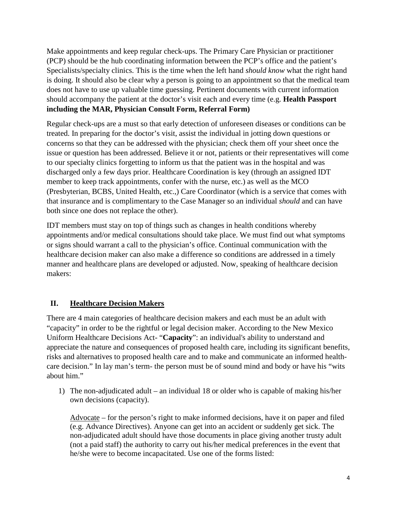Make appointments and keep regular check-ups. The Primary Care Physician or practitioner (PCP) should be the hub coordinating information between the PCP's office and the patient's Specialists/specialty clinics. This is the time when the left hand *should know* what the right hand is doing. It should also be clear why a person is going to an appointment so that the medical team does not have to use up valuable time guessing. Pertinent documents with current information should accompany the patient at the doctor's visit each and every time (e.g. **Health Passport including the MAR, Physician Consult Form, Referral Form)**

Regular check-ups are a must so that early detection of unforeseen diseases or conditions can be treated. In preparing for the doctor's visit, assist the individual in jotting down questions or concerns so that they can be addressed with the physician; check them off your sheet once the issue or question has been addressed. Believe it or not, patients or their representatives will come to our specialty clinics forgetting to inform us that the patient was in the hospital and was discharged only a few days prior. Healthcare Coordination is key (through an assigned IDT member to keep track appointments, confer with the nurse, etc.) as well as the MCO (Presbyterian, BCBS, United Health, etc.,) Care Coordinator (which is a service that comes with that insurance and is complimentary to the Case Manager so an individual *should* and can have both since one does not replace the other).

IDT members must stay on top of things such as changes in health conditions whereby appointments and/or medical consultations should take place. We must find out what symptoms or signs should warrant a call to the physician's office. Continual communication with the healthcare decision maker can also make a difference so conditions are addressed in a timely manner and healthcare plans are developed or adjusted. Now, speaking of healthcare decision makers:

## **II. Healthcare Decision Makers**

There are 4 main categories of healthcare decision makers and each must be an adult with "capacity" in order to be the rightful or legal decision maker. According to the New Mexico Uniform Healthcare Decisions Act- "**Capacity**": an individual's ability to understand and appreciate the nature and consequences of proposed health care, including its significant benefits, risks and alternatives to proposed health care and to make and communicate an informed healthcare decision." In lay man's term- the person must be of sound mind and body or have his "wits about him."

1) The non-adjudicated adult – an individual 18 or older who is capable of making his/her own decisions (capacity).

Advocate – for the person's right to make informed decisions, have it on paper and filed (e.g. Advance Directives). Anyone can get into an accident or suddenly get sick. The non-adjudicated adult should have those documents in place giving another trusty adult (not a paid staff) the authority to carry out his/her medical preferences in the event that he/she were to become incapacitated. Use one of the forms listed: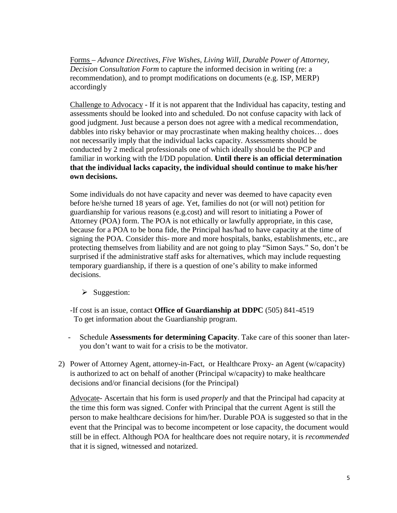Forms – *Advance Directives*, *Five Wishes*, *Living Will*, *Durable Power of Attorney*, *Decision Consultation Form* to capture the informed decision in writing (re: a recommendation), and to prompt modifications on documents (e.g. ISP, MERP) accordingly

Challenge to Advocacy - If it is not apparent that the Individual has capacity, testing and assessments should be looked into and scheduled. Do not confuse capacity with lack of good judgment. Just because a person does not agree with a medical recommendation, dabbles into risky behavior or may procrastinate when making healthy choices… does not necessarily imply that the individual lacks capacity. Assessments should be conducted by 2 medical professionals one of which ideally should be the PCP and familiar in working with the I/DD population. **Until there is an official determination that the individual lacks capacity, the individual should continue to make his/her own decisions.** 

Some individuals do not have capacity and never was deemed to have capacity even before he/she turned 18 years of age. Yet, families do not (or will not) petition for guardianship for various reasons (e.g.cost) and will resort to initiating a Power of Attorney (POA) form. The POA is not ethically or lawfully appropriate, in this case, because for a POA to be bona fide, the Principal has/had to have capacity at the time of signing the POA. Consider this- more and more hospitals, banks, establishments, etc., are protecting themselves from liability and are not going to play "Simon Says." So, don't be surprised if the administrative staff asks for alternatives, which may include requesting temporary guardianship, if there is a question of one's ability to make informed decisions.

- $\triangleright$  Suggestion:
- -If cost is an issue, contact **Office of Guardianship at DDPC** (505) 841-4519 To get information about the Guardianship program.
- Schedule **Assessments for determining Capacity**. Take care of this sooner than lateryou don't want to wait for a crisis to be the motivator.
- 2) Power of Attorney Agent, attorney-in-Fact, or Healthcare Proxy- an Agent (w/capacity) is authorized to act on behalf of another (Principal w/capacity) to make healthcare decisions and/or financial decisions (for the Principal)

Advocate- Ascertain that his form is used *properly* and that the Principal had capacity at the time this form was signed. Confer with Principal that the current Agent is still the person to make healthcare decisions for him/her. Durable POA is suggested so that in the event that the Principal was to become incompetent or lose capacity, the document would still be in effect. Although POA for healthcare does not require notary, it is *recommended* that it is signed, witnessed and notarized.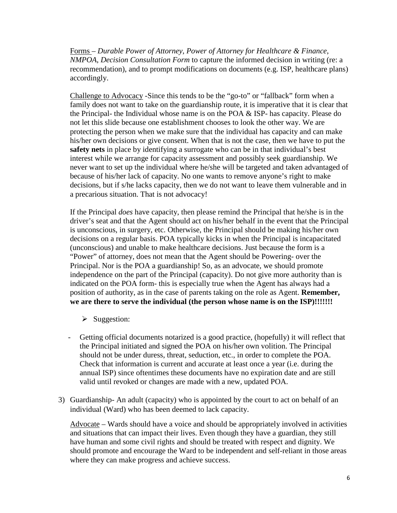Forms – *Durable Power of Attorney*, *Power of Attorney for Healthcare & Finance*, *NMPOA*, *Decision Consultation Form* to capture the informed decision in writing (re: a recommendation), and to prompt modifications on documents (e.g. ISP, healthcare plans) accordingly.

Challenge to Advocacy -Since this tends to be the "go-to" or "fallback" form when a family does not want to take on the guardianship route, it is imperative that it is clear that the Principal- the Individual whose name is on the POA & ISP- has capacity. Please do not let this slide because one establishment chooses to look the other way. We are protecting the person when we make sure that the individual has capacity and can make his/her own decisions or give consent. When that is not the case, then we have to put the **safety nets** in place by identifying a surrogate who can be in that individual's best interest while we arrange for capacity assessment and possibly seek guardianship. We never want to set up the individual where he/she will be targeted and taken advantaged of because of his/her lack of capacity. No one wants to remove anyone's right to make decisions, but if s/he lacks capacity, then we do not want to leave them vulnerable and in a precarious situation. That is not advocacy!

If the Principal *does* have capacity, then please remind the Principal that he/she is in the driver's seat and that the Agent should act on his/her behalf in the event that the Principal is unconscious, in surgery, etc. Otherwise, the Principal should be making his/her own decisions on a regular basis. POA typically kicks in when the Principal is incapacitated (unconscious) and unable to make healthcare decisions. Just because the form is a "Power" of attorney, does not mean that the Agent should be Powering- over the Principal. Nor is the POA a guardianship! So, as an advocate, we should promote independence on the part of the Principal (capacity). Do not give more authority than is indicated on the POA form- this is especially true when the Agent has always had a position of authority, as in the case of parents taking on the role as Agent. **Remember, we are there to serve the individual (the person whose name is on the ISP)!!!!!!!** 

- $\triangleright$  Suggestion:
- Getting official documents notarized is a good practice, (hopefully) it will reflect that the Principal initiated and signed the POA on his/her own volition. The Principal should not be under duress, threat, seduction, etc., in order to complete the POA. Check that information is current and accurate at least once a year (i.e. during the annual ISP) since oftentimes these documents have no expiration date and are still valid until revoked or changes are made with a new, updated POA.
- 3) Guardianship- An adult (capacity) who is appointed by the court to act on behalf of an individual (Ward) who has been deemed to lack capacity.

Advocate – Wards should have a voice and should be appropriately involved in activities and situations that can impact their lives. Even though they have a guardian, they still have human and some civil rights and should be treated with respect and dignity. We should promote and encourage the Ward to be independent and self-reliant in those areas where they can make progress and achieve success.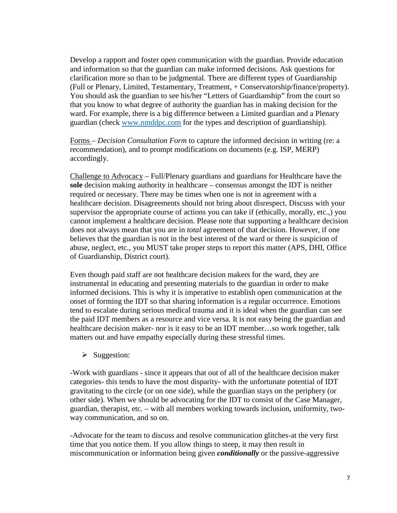Develop a rapport and foster open communication with the guardian. Provide education and information so that the guardian can make informed decisions. Ask questions for clarification more so than to be judgmental. There are different types of Guardianship (Full or Plenary, Limited, Testamentary, Treatment, + Conservatorship/finance/property). You should ask the guardian to see his/her "Letters of Guardianship" from the court so that you know to what degree of authority the guardian has in making decision for the ward. For example, there is a big difference between a Limited guardian and a Plenary guardian (check [www.nmddpc.com](http://www.nmddpc.com/) for the types and description of guardianship).

Forms – *Decision Consultation Form* to capture the informed decision in writing (re: a recommendation), and to prompt modifications on documents (e.g. ISP, MERP) accordingly.

Challenge to Advocacy – Full/Plenary guardians and guardians for Healthcare have the **sole** decision making authority in healthcare – consensus amongst the IDT is neither required or necessary. There may be times when one is not in agreement with a healthcare decision. Disagreements should not bring about disrespect. Discuss with your supervisor the appropriate course of actions you can take if (ethically, morally, etc.,) you cannot implement a healthcare decision. Please note that supporting a healthcare decision does not always mean that you are in *total* agreement of that decision. However, if one believes that the guardian is not in the best interest of the ward or there is suspicion of abuse, neglect, etc., you MUST take proper steps to report this matter (APS, DHI, Office of Guardianship, District court).

Even though paid staff are not healthcare decision makers for the ward, they are instrumental in educating and presenting materials to the guardian in order to make informed decisions. This is why it is imperative to establish open communication at the onset of forming the IDT so that sharing information is a regular occurrence. Emotions tend to escalate during serious medical trauma and it is ideal when the guardian can see the paid IDT members as a resource and vice versa. It is not easy being the guardian and healthcare decision maker- nor is it easy to be an IDT member…so work together, talk matters out and have empathy especially during these stressful times.

 $\triangleright$  Suggestion:

-Work with guardians - since it appears that out of all of the healthcare decision maker categories- this tends to have the most disparity- with the unfortunate potential of IDT gravitating to the circle (or on one side), while the guardian stays on the periphery (or other side). When we should be advocating for the IDT to consist of the Case Manager, guardian, therapist, etc. – with all members working towards inclusion, uniformity, twoway communication, and so on.

-Advocate for the team to discuss and resolve communication glitches-at the very first time that you notice them. If you allow things to steep, it may then result in miscommunication or information being given *conditionally* or the passive-aggressive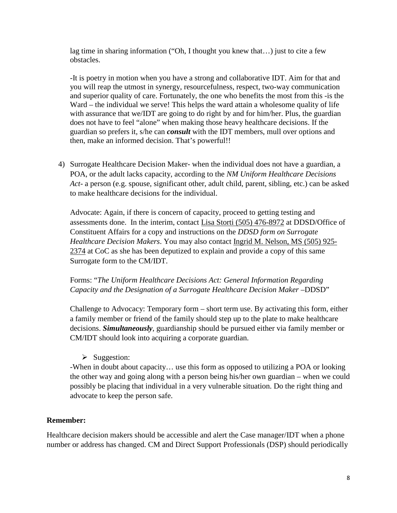lag time in sharing information ("Oh, I thought you knew that…) just to cite a few obstacles.

-It is poetry in motion when you have a strong and collaborative IDT. Aim for that and you will reap the utmost in synergy, resourcefulness, respect, two-way communication and superior quality of care. Fortunately, the one who benefits the most from this -is the Ward – the individual we serve! This helps the ward attain a wholesome quality of life with assurance that we/IDT are going to do right by and for him/her. Plus, the guardian does not have to feel "alone" when making those heavy healthcare decisions. If the guardian so prefers it, s/he can *consult* with the IDT members, mull over options and then, make an informed decision. That's powerful!!

4) Surrogate Healthcare Decision Maker- when the individual does not have a guardian, a POA, or the adult lacks capacity, according to the *NM Uniform Healthcare Decisions Act*- a person (e.g. spouse, significant other, adult child, parent, sibling, etc.) can be asked to make healthcare decisions for the individual.

Advocate: Again, if there is concern of capacity, proceed to getting testing and assessments done. In the interim, contact Lisa Storti (505) 476-8972 at DDSD/Office of Constituent Affairs for a copy and instructions on the *DDSD form on Surrogate Healthcare Decision Makers*. You may also contact Ingrid M. Nelson, MS (505) 925- 2374 at CoC as she has been deputized to explain and provide a copy of this same Surrogate form to the CM/IDT.

Forms: "*The Uniform Healthcare Decisions Act: General Information Regarding Capacity and the Designation of a Surrogate Healthcare Decision Maker* –DDSD"

Challenge to Advocacy: Temporary form – short term use. By activating this form, either a family member or friend of the family should step up to the plate to make healthcare decisions. *Simultaneously*, guardianship should be pursued either via family member or CM/IDT should look into acquiring a corporate guardian.

## $\triangleright$  Suggestion:

-When in doubt about capacity… use this form as opposed to utilizing a POA or looking the other way and going along with a person being his/her own guardian – when we could possibly be placing that individual in a very vulnerable situation. Do the right thing and advocate to keep the person safe.

## **Remember:**

Healthcare decision makers should be accessible and alert the Case manager/IDT when a phone number or address has changed. CM and Direct Support Professionals (DSP) should periodically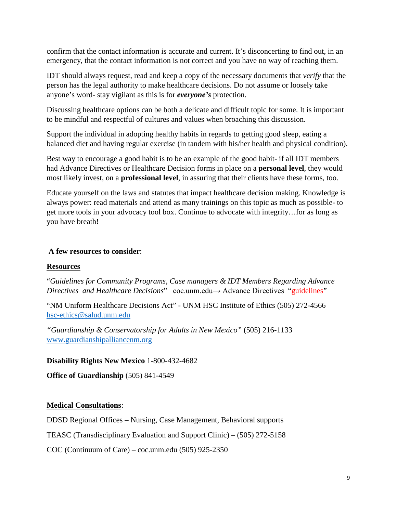confirm that the contact information is accurate and current. It's disconcerting to find out, in an emergency, that the contact information is not correct and you have no way of reaching them.

IDT should always request, read and keep a copy of the necessary documents that *verify* that the person has the legal authority to make healthcare decisions. Do not assume or loosely take anyone's word- stay vigilant as this is for *everyone's* protection.

Discussing healthcare options can be both a delicate and difficult topic for some. It is important to be mindful and respectful of cultures and values when broaching this discussion.

Support the individual in adopting healthy habits in regards to getting good sleep, eating a balanced diet and having regular exercise (in tandem with his/her health and physical condition).

Best way to encourage a good habit is to be an example of the good habit- if all IDT members had Advance Directives or Healthcare Decision forms in place on a **personal level**, they would most likely invest, on a **professional level**, in assuring that their clients have these forms, too.

Educate yourself on the laws and statutes that impact healthcare decision making. Knowledge is always power: read materials and attend as many trainings on this topic as much as possible- to get more tools in your advocacy tool box. Continue to advocate with integrity…for as long as you have breath!

#### **A few resources to consider**:

## **Resources**

"*Guidelines for Community Programs, Case managers & IDT Members Regarding Advance Directives and Healthcare Decisions*" coc.unm.edu→ Advance Directives "guidelines"

"NM Uniform Healthcare Decisions Act" - UNM HSC Institute of Ethics (505) 272-4566 [hsc-ethics@salud.unm.edu](mailto:hsc-ethics@salud.unm.edu)

*"Guardianship & Conservatorship for Adults in New Mexico"* (505) 216-1133 [www.guardianshipalliancenm.org](http://www.guardianshipalliancenm.org/)

## **Disability Rights New Mexico** 1-800-432-4682

**Office of Guardianship** (505) 841-4549

## **Medical Consultations**:

DDSD Regional Offices – Nursing, Case Management, Behavioral supports

TEASC (Transdisciplinary Evaluation and Support Clinic) – (505) 272-5158

COC (Continuum of Care) – coc.unm.edu (505) 925-2350